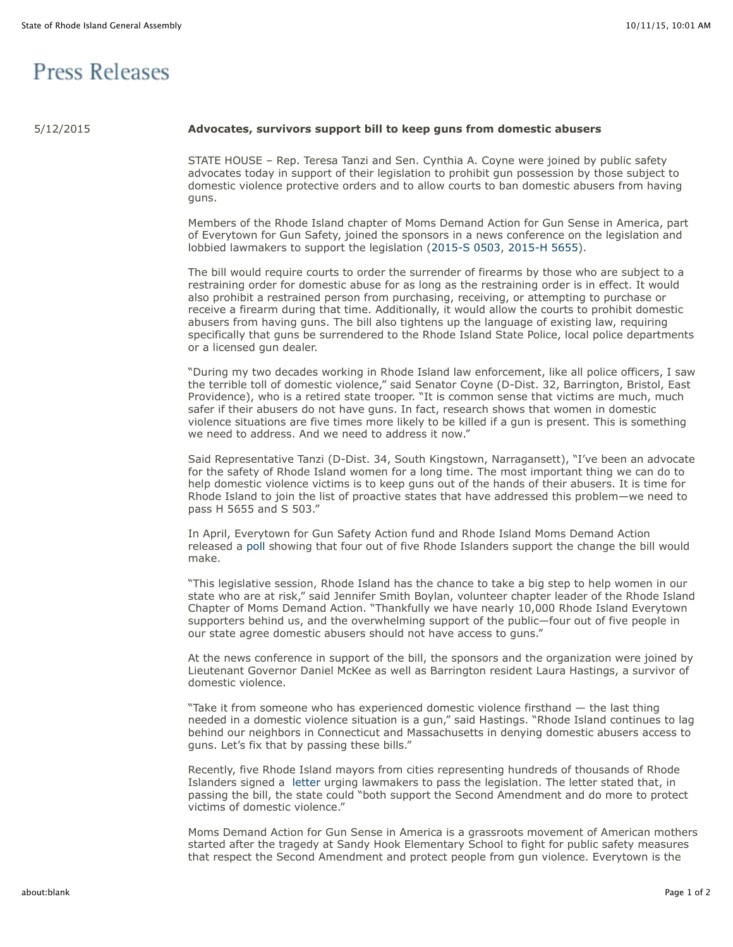## **Press Releases**

## 5/12/2015 **Advocates, survivors support bill to keep guns from domestic abusers**

STATE HOUSE – Rep. Teresa Tanzi and Sen. Cynthia A. Coyne were joined by public safety advocates today in support of their legislation to prohibit gun possession by those subject to domestic violence protective orders and to allow courts to ban domestic abusers from having guns.

Members of the Rhode Island chapter of Moms Demand Action for Gun Sense in America, part of Everytown for Gun Safety, joined the sponsors in a news conference on the legislation and lobbied lawmakers to support the legislation [\(2015-S 0503,](http://webserver.rilin.state.ri.us/BillText/BillText15/SenateText15/S0503.pdf) [2015-H 5655\)](http://webserver.rilin.state.ri.us/BillText/BillText15/HouseText15/H5655.pdf).

The bill would require courts to order the surrender of firearms by those who are subject to a restraining order for domestic abuse for as long as the restraining order is in effect. It would also prohibit a restrained person from purchasing, receiving, or attempting to purchase or receive a firearm during that time. Additionally, it would allow the courts to prohibit domestic abusers from having guns. The bill also tightens up the language of existing law, requiring specifically that guns be surrendered to the Rhode Island State Police, local police departments or a licensed gun dealer.

"During my two decades working in Rhode Island law enforcement, like all police officers, I saw the terrible toll of domestic violence," said Senator Coyne (D-Dist. 32, Barrington, Bristol, East Providence), who is a retired state trooper. "It is common sense that victims are much, much safer if their abusers do not have guns. In fact, research shows that women in domestic violence situations are five times more likely to be killed if a gun is present. This is something we need to address. And we need to address it now."

Said Representative Tanzi (D-Dist. 34, South Kingstown, Narragansett), "I've been an advocate for the safety of Rhode Island women for a long time. The most important thing we can do to help domestic violence victims is to keep guns out of the hands of their abusers. It is time for Rhode Island to join the list of proactive states that have addressed this problem—we need to pass H 5655 and S 503."

In April, Everytown for Gun Safety Action fund and Rhode Island Moms Demand Action released a [poll](https://t.e2ma.net/click/14zug/diegpg/l83rmb) showing that four out of five Rhode Islanders support the change the bill would make.

"This legislative session, Rhode Island has the chance to take a big step to help women in our state who are at risk," said Jennifer Smith Boylan, volunteer chapter leader of the Rhode Island Chapter of Moms Demand Action. "Thankfully we have nearly 10,000 Rhode Island Everytown supporters behind us, and the overwhelming support of the public—four out of five people in our state agree domestic abusers should not have access to guns."

At the news conference in support of the bill, the sponsors and the organization were joined by Lieutenant Governor Daniel McKee as well as Barrington resident Laura Hastings, a survivor of domestic violence.

"Take it from someone who has experienced domestic violence firsthand — the last thing needed in a domestic violence situation is a gun," said Hastings. "Rhode Island continues to lag behind our neighbors in Connecticut and Massachusetts in denying domestic abusers access to guns. Let's fix that by passing these bills."

Recently, five Rhode Island mayors from cities representing hundreds of thousands of Rhode Islanders signed a [letter](https://t.e2ma.net/click/14zug/diegpg/5f3rmb) urging lawmakers to pass the legislation. The letter stated that, in passing the bill, the state could "both support the Second Amendment and do more to protect victims of domestic violence."

Moms Demand Action for Gun Sense in America is a grassroots movement of American mothers started after the tragedy at Sandy Hook Elementary School to fight for public safety measures that respect the Second Amendment and protect people from gun violence. Everytown is the